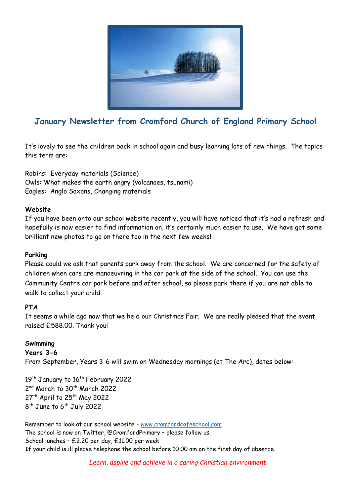

# **January Newsletter from Cromford Church of England Primary School**

It's lovely to see the children back in school again and busy learning lots of new things. The topics this term are:

Robins: Everyday materials (Science) Owls: What makes the earth angry (volcanoes, tsunami) Eagles: Anglo Saxons, Changing materials

## **Website**

If you have been onto our school website recently, you will have noticed that it's had a refresh and hopefully is now easier to find information on, it's certainly much easier to use. We have got some brilliant new photos to go on there too in the next few weeks!

### **Parking**

Please could we ask that parents park away from the school. We are concerned for the safety of children when cars are manoeuvring in the car park at the side of the school. You can use the Community Centre car park before and after school, so please park there if you are not able to walk to collect your child.

## **PTA**

It seems a while ago now that we held our Christmas Fair. We are really pleased that the event raised £588.00. Thank you!

### **Swimming**

**Years 3-6** From September, Years 3-6 will swim on Wednesday mornings (at The Arc), dates below:

19<sup>th</sup> January to 16<sup>th</sup> February 2022 2<sup>nd</sup> March to 30<sup>th</sup> March 2022 27<sup>th</sup> April to 25<sup>th</sup> May 2022  $8^{\text{th}}$  June to 6<sup>th</sup> July 2022

Remember to look at our school website - [www.cromfordcofeschool.com](http://www.cromfordcofeschool.com/) The school is now on Twitter, @CromfordPrimary – please follow us. School lunches – £2.20 per day, £11.00 per week If your child is ill please telephone the school before 10.00 am on the first day of absence.

*Learn, aspire and achieve in a caring Christian environment*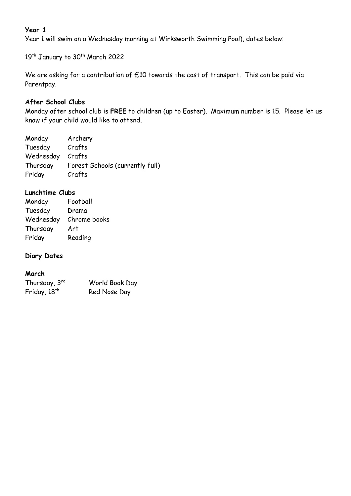# **Year 1**

Year 1 will swim on a Wednesday morning at Wirksworth Swimming Pool), dates below:

19<sup>th</sup> January to 30<sup>th</sup> March 2022

We are asking for a contribution of £10 towards the cost of transport. This can be paid via Parentpay.

## **After School Clubs**

Monday after school club is **FREE** to children (up to Easter). Maximum number is 15. Please let us know if your child would like to attend.

| Monday    | Archery                         |
|-----------|---------------------------------|
| Tuesday   | Crafts                          |
| Wednesday | Crafts                          |
| Thursday  | Forest Schools (currently full) |
| Friday    | Crafts                          |

# **Lunchtime Clubs**

| Monday    | Football     |
|-----------|--------------|
| Tuesday   | Drama        |
| Wednesday | Chrome books |
| Thursday  | Art          |
| Friday    | Reading      |

### **Diary Dates**

### **March**

| Thursday, 3rd            | World Book Day |
|--------------------------|----------------|
| Friday, 18 <sup>th</sup> | Red Nose Day   |